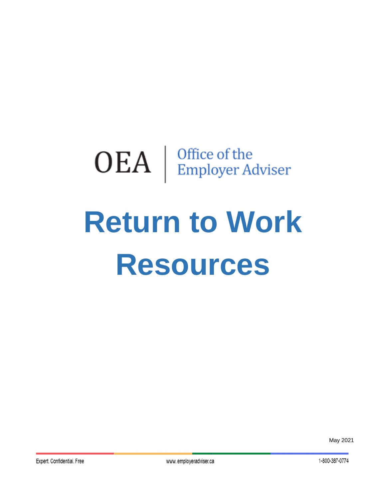# $\mathrm{OEA}~|~^{\mathrm{Office~of~the}}_{\mathrm{Employee~Adviser}}$

# **Return to Work Resources**

May 2021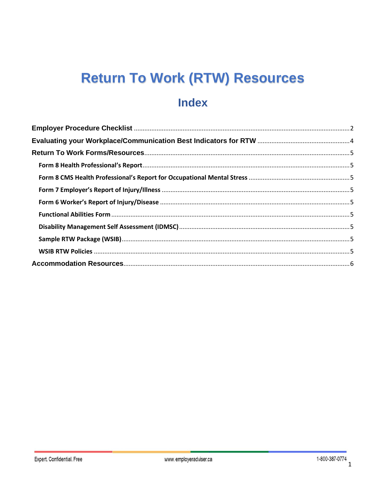## **Return To Work (RTW) Resources**

### **Index**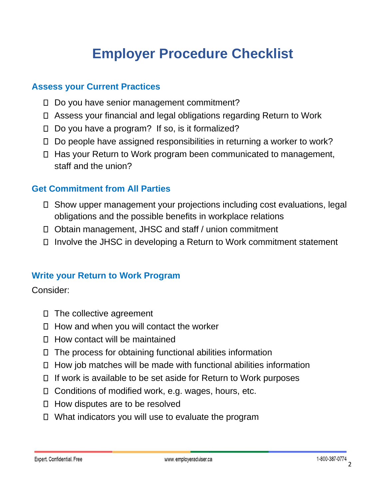## **Employer Procedure Checklist**

#### <span id="page-2-0"></span>**Assess your Current Practices**

- □ Do you have senior management commitment?
- Assess your financial and legal obligations regarding Return to Work
- $\Box$  Do you have a program? If so, is it formalized?
- □ Do people have assigned responsibilities in returning a worker to work?
- Has your Return to Work program been communicated to management, staff and the union?

#### **Get Commitment from All Parties**

- Show upper management your projections including cost evaluations, legal obligations and the possible benefits in workplace relations
- Obtain management, JHSC and staff / union commitment
- $\Box$  Involve the JHSC in developing a Return to Work commitment statement

#### **Write your Return to Work Program**

Consider:

- $\Box$  The collective agreement
- $\Box$  How and when you will contact the worker
- $\Box$  How contact will be maintained
- $\Box$  The process for obtaining functional abilities information
- $\Box$  How job matches will be made with functional abilities information
- $\Box$  If work is available to be set aside for Return to Work purposes
- Conditions of modified work, e.g. wages, hours, etc.
- $\Box$  How disputes are to be resolved
- What indicators you will use to evaluate the program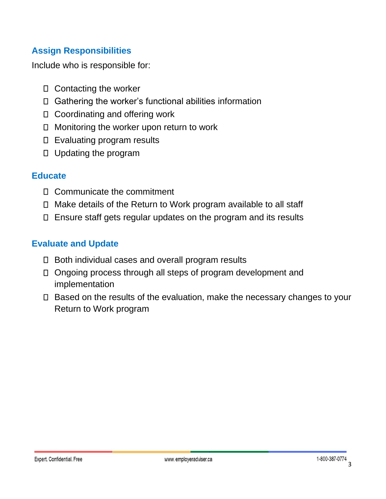#### **Assign Responsibilities**

Include who is responsible for:

- $\Box$  Contacting the worker
- Gathering the worker's functional abilities information
- □ Coordinating and offering work
- □ Monitoring the worker upon return to work
- Evaluating program results
- Updating the program

#### **Educate**

- Communicate the commitment
- Make details of the Return to Work program available to all staff
- Ensure staff gets regular updates on the program and its results

#### **Evaluate and Update**

- $\Box$  Both individual cases and overall program results
- □ Ongoing process through all steps of program development and implementation
- □ Based on the results of the evaluation, make the necessary changes to your Return to Work program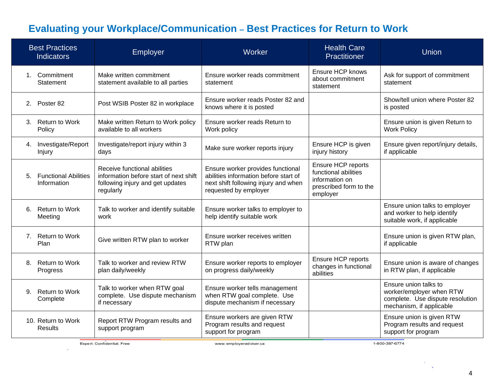### **Evaluating your Workplace/Communication - Best Practices for Return to Work**

| <b>Best Practices</b><br><b>Indicators</b>       | Employer                                                                                                                | Worker                                                                                                                                      | <b>Health Care</b><br>Practitioner                                                                 | Union                                                                                                             |
|--------------------------------------------------|-------------------------------------------------------------------------------------------------------------------------|---------------------------------------------------------------------------------------------------------------------------------------------|----------------------------------------------------------------------------------------------------|-------------------------------------------------------------------------------------------------------------------|
| 1. Commitment<br>Statement                       | Make written commitment<br>statement available to all parties                                                           | Ensure worker reads commitment<br>statement                                                                                                 | <b>Ensure HCP knows</b><br>about commitment<br>statement                                           | Ask for support of commitment<br>statement                                                                        |
| 2. Poster 82                                     | Post WSIB Poster 82 in workplace                                                                                        | Ensure worker reads Poster 82 and<br>knows where it is posted                                                                               |                                                                                                    | Show/tell union where Poster 82<br>is posted                                                                      |
| 3. Return to Work<br>Policy                      | Make written Return to Work policy<br>available to all workers                                                          | Ensure worker reads Return to<br>Work policy                                                                                                |                                                                                                    | Ensure union is given Return to<br><b>Work Policy</b>                                                             |
| 4. Investigate/Report<br>Injury                  | Investigate/report injury within 3<br>days                                                                              | Make sure worker reports injury                                                                                                             | Ensure HCP is given<br>injury history                                                              | Ensure given report/injury details,<br>if applicable                                                              |
| <b>Functional Abilities</b><br>5.<br>Information | Receive functional abilities<br>information before start of next shift<br>following injury and get updates<br>regularly | Ensure worker provides functional<br>abilities information before start of<br>next shift following injury and when<br>requested by employer | Ensure HCP reports<br>functional abilities<br>information on<br>prescribed form to the<br>employer |                                                                                                                   |
| <b>Return to Work</b><br>6.<br>Meeting           | Talk to worker and identify suitable<br>work                                                                            | Ensure worker talks to employer to<br>help identify suitable work                                                                           |                                                                                                    | Ensure union talks to employer<br>and worker to help identify<br>suitable work, if applicable                     |
| 7. Return to Work<br>Plan                        | Give written RTW plan to worker                                                                                         | Ensure worker receives written<br>RTW plan                                                                                                  |                                                                                                    | Ensure union is given RTW plan,<br>if applicable                                                                  |
| <b>Return to Work</b><br>8.<br>Progress          | Talk to worker and review RTW<br>plan daily/weekly                                                                      | Ensure worker reports to employer<br>on progress daily/weekly                                                                               | Ensure HCP reports<br>changes in functional<br>abilities                                           | Ensure union is aware of changes<br>in RTW plan, if applicable                                                    |
| <b>Return to Work</b><br>9.<br>Complete          | Talk to worker when RTW goal<br>complete. Use dispute mechanism<br>if necessary                                         | Ensure worker tells management<br>when RTW goal complete. Use<br>dispute mechanism if necessary                                             |                                                                                                    | Ensure union talks to<br>worker/employer when RTW<br>complete. Use dispute resolution<br>mechanism, if applicable |
| 10. Return to Work<br>Results                    | Report RTW Program results and<br>support program                                                                       | Ensure workers are given RTW<br>Program results and request<br>support for program                                                          |                                                                                                    | Ensure union is given RTW<br>Program results and request<br>support for program                                   |

Expert. Confidential. Free

÷

1-800-387-0774

 $\sim$ **Service**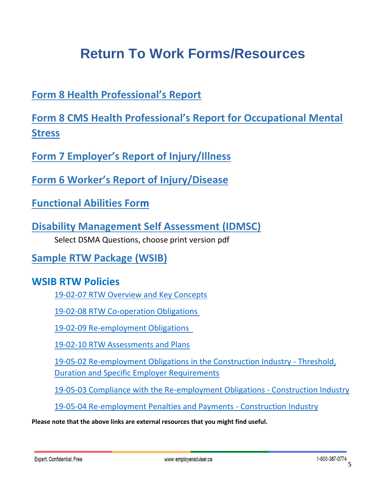## **Return To Work Forms/Resources**

<span id="page-5-1"></span><span id="page-5-0"></span>**[Form 8 Health Professional](http://www.sgdsb.on.ca/upload/documents/wsib-form-8-functional-abilities.pdf)'s Report**

<span id="page-5-2"></span>**[Form 8 CMS Health Professional's Report for](https://www.wsib.ca/sites/default/files/2019-02/0010a_fs_10_17_1.pdf) Occupational Mental [Stress](https://www.wsib.ca/sites/default/files/2019-02/0010a_fs_10_17_1.pdf)**

<span id="page-5-3"></span>**Form 7 Employer'[s Report of Injury/Illness](https://www.wsib.ca/sites/default/files/2019-02/form7.pdf)**

<span id="page-5-4"></span>**Form 6 Worker'[s Report of Injury/Disease](https://www.wsib.ca/sites/default/files/2019-02/0006a_fs_09_15.pdf)**

<span id="page-5-5"></span>**[Functional Abilities Form](https://www.wsib.ca/sites/default/files/documents/2018-12/2647a0706.pdf)**

<span id="page-5-6"></span>**[Disability Management Self Assessment](https://www.idmsc.org/dmsa/background.php?referral=1) (IDMSC)** Select DSMA Questions, choose print version pd[f](https://www.wsib.ca/sites/default/files/documents/2019-01/samplertwpackage.pdf)

<span id="page-5-7"></span>**[Sample RTW Package \(WSIB\)](https://www.wsib.ca/sites/default/files/documents/2019-01/samplertwpackage.pdf)**

#### <span id="page-5-8"></span>**WSIB RTW Policies**

[19-02-07 RTW Overview and Key Concepts](https://www.wsib.ca/en/operational-policy-manual/rtw-overview-and-key-concepts)

[19-02-08 RTW Co-operation Obligations](https://www.wsib.ca/en/operational-policy-manual/rtw-co-operation-obligations)

[19-02-09 Re-employment Obligations](https://www.wsib.ca/en/operational-policy-manual/re-employment-obligations) 

[19-02-10 RTW Assessments and Plans](https://www.wsib.ca/en/operational-policy-manual/rtw-assessments-and-plans)

[19-05-02 Re-employment Obligations in the Construction Industry -](https://www.wsib.ca/en/operational-policy-manual/re-employment-obligation-construction-industry-threshold-duration-and) Threshold, [Duration and Specific Employer Requirements](https://www.wsib.ca/en/operational-policy-manual/re-employment-obligation-construction-industry-threshold-duration-and)

[19-05-03 Compliance with the Re-employment Obligations -](https://www.wsib.ca/en/operational-policy-manual/compliance-re-employment-obligation-construction-industry) Construction Industry

[19-05-04 Re-employment Penalties and Payments -](https://www.wsib.ca/en/operational-policy-manual/re-employment-penalties-and-payments-construction-industry) Construction Industry

**Please note that the above links are external resources that you might find useful.**

Expert. Confidential. Free